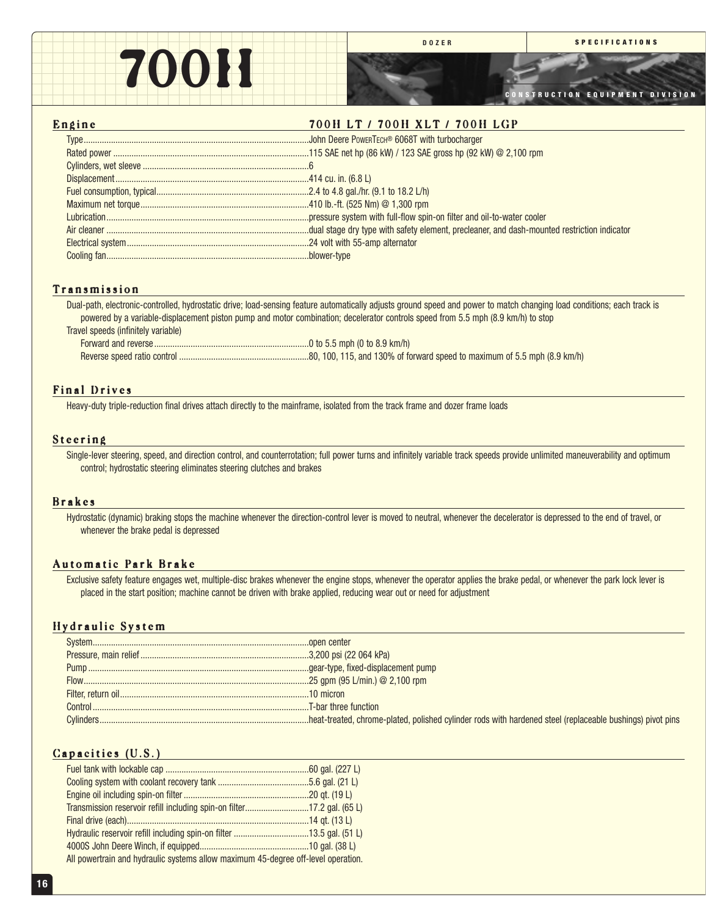

**DOZER SPECIFICATIONS**

## **RUCTION EQUIPMENT DIVISIO**

# Engine 700H LT / 700H XLT / 700H LGP

## Transmission

Dual-path, electronic-controlled, hydrostatic drive; load-sensing feature automatically adjusts ground speed and power to match changing load conditions; each track is powered by a variable-displacement piston pump and motor combination; decelerator controls speed from 5.5 mph (8.9 km/h) to stop Travel speeds (infinitely variable) Forward and reverse....................................................................0 to 5.5 mph (0 to 8.9 km/h)

### Final Drives

Heavy-duty triple-reduction final drives attach directly to the mainframe, isolated from the track frame and dozer frame loads

### Steering

Single-lever steering, speed, and direction control, and counterrotation; full power turns and infinitely variable track speeds provide unlimited maneuverability and optimum control; hydrostatic steering eliminates steering clutches and brakes

## Brakes

Hydrostatic (dynamic) braking stops the machine whenever the direction-control lever is moved to neutral, whenever the decelerator is depressed to the end of travel, or whenever the brake pedal is depressed

# Automatic Park Brake

Exclusive safety feature engages wet, multiple-disc brakes whenever the engine stops, whenever the operator applies the brake pedal, or whenever the park lock lever is placed in the start position; machine cannot be driven with brake applied, reducing wear out or need for adjustment

# Hydraulic System

| Control.   |  |
|------------|--|
| Cylinders. |  |

# Capacities (U.S.)

| Transmission reservoir refill including spin-on filter17.2 gal. (65 L)            |  |
|-----------------------------------------------------------------------------------|--|
|                                                                                   |  |
|                                                                                   |  |
|                                                                                   |  |
| All powertrain and hydraulic systems allow maximum 45-degree off-level operation. |  |

**16**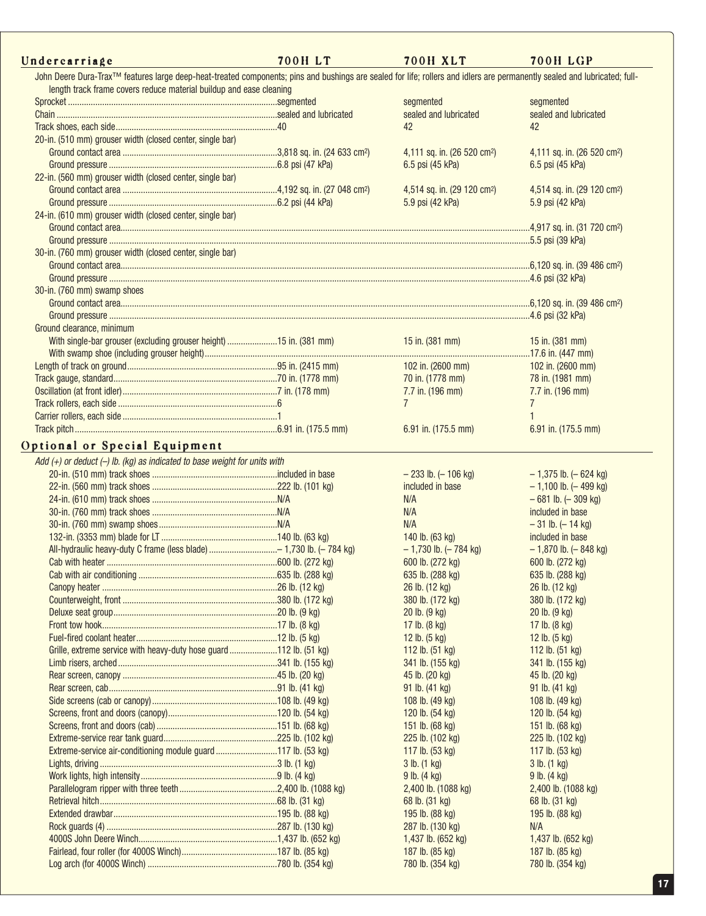| Undercarriage                                                                                                                                                                                                                                                | <b>700HLT</b> | <b>700H XLT</b>                         | <b>700H LGP</b>                         |
|--------------------------------------------------------------------------------------------------------------------------------------------------------------------------------------------------------------------------------------------------------------|---------------|-----------------------------------------|-----------------------------------------|
| John Deere Dura-Trax <sup>™</sup> features large deep-heat-treated components; pins and bushings are sealed for life; rollers and idlers are permanently sealed and lubricated; full-<br>length track frame covers reduce material buildup and ease cleaning |               |                                         |                                         |
|                                                                                                                                                                                                                                                              |               | segmented                               | segmented                               |
|                                                                                                                                                                                                                                                              |               | sealed and lubricated                   | sealed and lubricated                   |
|                                                                                                                                                                                                                                                              |               | 42                                      | 42                                      |
| 20-in. (510 mm) grouser width (closed center, single bar)                                                                                                                                                                                                    |               |                                         |                                         |
|                                                                                                                                                                                                                                                              |               | 4,111 sq. in. (26 520 cm <sup>2</sup> ) | 4,111 sq. in. (26 520 cm <sup>2</sup> ) |
|                                                                                                                                                                                                                                                              |               | 6.5 psi (45 kPa)                        | 6.5 psi (45 kPa)                        |
| 22-in. (560 mm) grouser width (closed center, single bar)                                                                                                                                                                                                    |               |                                         |                                         |
|                                                                                                                                                                                                                                                              |               | 4,514 sq. in. (29 120 cm <sup>2</sup> ) | 4,514 sq. in. (29 120 cm <sup>2</sup> ) |
|                                                                                                                                                                                                                                                              |               | 5.9 psi (42 kPa)                        | 5.9 psi (42 kPa)                        |
| 24-in. (610 mm) grouser width (closed center, single bar)                                                                                                                                                                                                    |               |                                         |                                         |
|                                                                                                                                                                                                                                                              |               |                                         |                                         |
|                                                                                                                                                                                                                                                              |               |                                         |                                         |
|                                                                                                                                                                                                                                                              |               |                                         |                                         |
| 30-in. (760 mm) grouser width (closed center, single bar)                                                                                                                                                                                                    |               |                                         |                                         |
|                                                                                                                                                                                                                                                              |               |                                         |                                         |
|                                                                                                                                                                                                                                                              |               |                                         |                                         |
| 30-in. (760 mm) swamp shoes                                                                                                                                                                                                                                  |               |                                         |                                         |
|                                                                                                                                                                                                                                                              |               |                                         |                                         |
|                                                                                                                                                                                                                                                              |               |                                         |                                         |
| Ground clearance, minimum                                                                                                                                                                                                                                    |               |                                         |                                         |
| With single-bar grouser (excluding grouser height) 15 in. (381 mm)                                                                                                                                                                                           |               | 15 in. (381 mm)                         | 15 in. (381 mm)                         |
|                                                                                                                                                                                                                                                              |               |                                         |                                         |
|                                                                                                                                                                                                                                                              |               | 102 in. (2600 mm)                       | 102 in. (2600 mm)                       |
|                                                                                                                                                                                                                                                              |               | 70 in. (1778 mm)                        | 78 in. (1981 mm)                        |
|                                                                                                                                                                                                                                                              |               | 7.7 in. (196 mm)                        | 7.7 in. (196 mm)                        |
|                                                                                                                                                                                                                                                              |               | $\overline{7}$                          |                                         |
|                                                                                                                                                                                                                                                              |               |                                         |                                         |
|                                                                                                                                                                                                                                                              |               | 6.91 in. (175.5 mm)                     | 6.91 in. (175.5 mm)                     |
|                                                                                                                                                                                                                                                              |               |                                         |                                         |
| Optional or Special Equipment                                                                                                                                                                                                                                |               |                                         |                                         |
| Add $(+)$ or deduct $(-)$ lb. (kg) as indicated to base weight for units with                                                                                                                                                                                |               |                                         |                                         |
|                                                                                                                                                                                                                                                              |               | $-233$ lb. $(-106$ kg)                  | $-1,375$ lb. (- 624 kg)                 |
|                                                                                                                                                                                                                                                              |               | included in base                        | $-1,100$ lb. (-499 kg)                  |
|                                                                                                                                                                                                                                                              |               | N/A                                     | $-681$ lb. $(-309$ kg)                  |
|                                                                                                                                                                                                                                                              |               | N/A                                     | included in base                        |
|                                                                                                                                                                                                                                                              |               | N/A                                     | $-31$ lb. $(-14$ kg)                    |
|                                                                                                                                                                                                                                                              |               | 140 lb. $(63 \text{ kg})$               | included in base                        |
| All-hydraulic heavy-duty C frame (less blade)  1,730 lb. (-784 kg)                                                                                                                                                                                           |               | $-1,730$ lb. $(-784$ kg)                | $-1,870$ lb. (-848 kg)                  |
|                                                                                                                                                                                                                                                              |               | 600 lb. (272 kg)                        | 600 lb. (272 kg)                        |
|                                                                                                                                                                                                                                                              |               | 635 lb. (288 kg)                        | 635 lb. (288 kg)                        |
|                                                                                                                                                                                                                                                              |               | 26 lb. (12 kg)                          | 26 lb. (12 kg)                          |
|                                                                                                                                                                                                                                                              |               | 380 lb. (172 kg)                        | 380 lb. (172 kg)                        |
|                                                                                                                                                                                                                                                              |               | $20$ lb. $(9$ kg)                       | $20$ lb. $(9$ kg)                       |
|                                                                                                                                                                                                                                                              |               | 17 lb. $(8 \text{ kg})$                 | 17 lb. $(8 \text{ kg})$                 |
|                                                                                                                                                                                                                                                              |               | 12 lb. $(5 \text{ kg})$                 | 12 lb. $(5 \text{ kg})$                 |
|                                                                                                                                                                                                                                                              |               | 112 lb. $(51 \text{ kg})$               | 112 lb. (51 kg)                         |
|                                                                                                                                                                                                                                                              |               | 341 lb. (155 kg)                        | 341 lb. (155 kg)                        |
|                                                                                                                                                                                                                                                              |               | 45 lb. (20 kg)                          | 45 lb. (20 kg)                          |
|                                                                                                                                                                                                                                                              |               | 91 lb. (41 kg)                          | 91 lb. (41 kg)                          |
|                                                                                                                                                                                                                                                              |               |                                         |                                         |
|                                                                                                                                                                                                                                                              |               | 108 lb. (49 kg)                         | 108 lb. (49 kg)                         |
|                                                                                                                                                                                                                                                              |               | 120 lb. (54 kg)                         | 120 lb. (54 kg)                         |
|                                                                                                                                                                                                                                                              |               | 151 lb. (68 kg)                         | 151 lb. (68 kg)                         |
|                                                                                                                                                                                                                                                              |               | 225 lb. (102 kg)                        | 225 lb. (102 kg)                        |
| Extreme-service air-conditioning module guard 117 lb. (53 kg)                                                                                                                                                                                                |               | 117 lb. $(53 \text{ kg})$               | 117 lb. $(53 \text{ kg})$               |
|                                                                                                                                                                                                                                                              |               | 3 lb. (1 kg)                            | 3 lb. (1 kg)                            |
|                                                                                                                                                                                                                                                              |               | $9$ lb. $(4$ kg)                        | $9$ lb. $(4 \text{ kg})$                |
|                                                                                                                                                                                                                                                              |               | 2,400 lb. (1088 kg)                     | 2,400 lb. (1088 kg)                     |
|                                                                                                                                                                                                                                                              |               | 68 lb. (31 kg)                          | 68 lb. (31 kg)                          |
|                                                                                                                                                                                                                                                              |               | 195 lb. (88 kg)                         | 195 lb. (88 kg)                         |
|                                                                                                                                                                                                                                                              |               | 287 lb. (130 kg)                        | N/A                                     |
|                                                                                                                                                                                                                                                              |               | 1,437 lb. (652 kg)                      | 1,437 lb. (652 kg)                      |
|                                                                                                                                                                                                                                                              |               | 187 lb. (85 kg)                         | 187 lb. (85 kg)                         |
|                                                                                                                                                                                                                                                              |               | 780 lb. (354 kg)                        | 780 lb. (354 kg)                        |
|                                                                                                                                                                                                                                                              |               |                                         |                                         |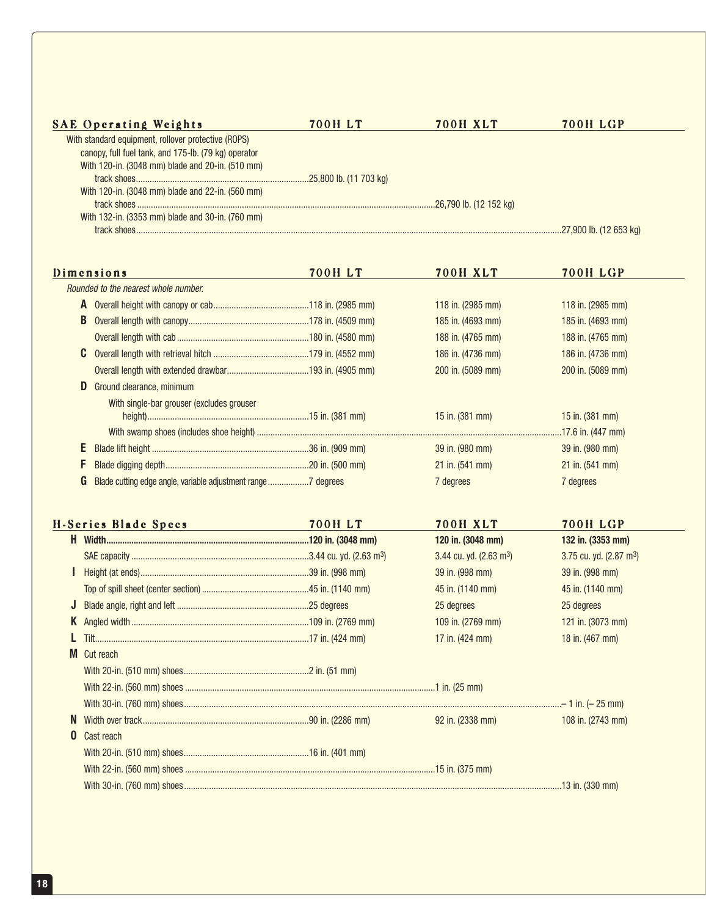| <b>SAE Operating Weights</b>                         | <b>700HLT</b> | <b>700H XLT</b> | <b>700H LGP</b> |
|------------------------------------------------------|---------------|-----------------|-----------------|
| With standard equipment, rollover protective (ROPS)  |               |                 |                 |
| canopy, full fuel tank, and 175-lb. (79 kg) operator |               |                 |                 |
| With 120-in. (3048 mm) blade and 20-in. (510 mm)     |               |                 |                 |
|                                                      |               |                 |                 |
| With 120-in. (3048 mm) blade and 22-in. (560 mm)     |               |                 |                 |
|                                                      |               |                 |                 |
| With 132-in. (3353 mm) blade and 30-in. (760 mm)     |               |                 |                 |
| track shoes                                          |               |                 |                 |

| Dimensions |                                                               | <b>700HLT</b>                                     | <b>700H XLT</b>                   | <b>700H LGP</b>                   |
|------------|---------------------------------------------------------------|---------------------------------------------------|-----------------------------------|-----------------------------------|
|            | Rounded to the nearest whole number.                          |                                                   |                                   |                                   |
|            |                                                               |                                                   | 118 in. (2985 mm)                 | 118 in. (2985 mm)                 |
| B          |                                                               |                                                   | 185 in. (4693 mm)                 | 185 in. (4693 mm)                 |
|            |                                                               |                                                   | 188 in. (4765 mm)                 | 188 in. (4765 mm)                 |
| C          |                                                               |                                                   | 186 in. (4736 mm)                 | 186 in. (4736 mm)                 |
|            |                                                               |                                                   | 200 in. (5089 mm)                 | 200 in. (5089 mm)                 |
| D          | Ground clearance, minimum                                     |                                                   |                                   |                                   |
|            | With single-bar grouser (excludes grouser                     |                                                   | 15 in. (381 mm)                   | 15 in. (381 mm)                   |
|            |                                                               |                                                   |                                   | 17.6 in. (447 mm)                 |
| Е          |                                                               |                                                   | 39 in. (980 mm)                   | 39 in. (980 mm)                   |
|            |                                                               |                                                   | 21 in. (541 mm)                   | 21 in. (541 mm)                   |
| G          | Blade cutting edge angle, variable adjustment range 7 degrees |                                                   | 7 degrees                         | 7 degrees                         |
|            | H-Series Blade Specs                                          | <b>700HLT</b>                                     | <b>700H XLT</b>                   | <b>700H LGP</b>                   |
| н.         |                                                               |                                                   | 120 in. (3048 mm)                 | 132 in. (3353 mm)                 |
|            |                                                               |                                                   | 3.44 cu. yd. $(2.63 \text{ m}^3)$ | 3.75 cu. yd. $(2.87 \text{ m}^3)$ |
|            |                                                               |                                                   | 39 in. (998 mm)                   | 39 in. (998 mm)                   |
|            |                                                               |                                                   | 45 in. (1140 mm)                  | 45 in. (1140 mm)                  |
| J          |                                                               |                                                   | 25 degrees                        | 25 degrees                        |
|            |                                                               |                                                   | 109 in. (2769 mm)                 | 121 in. (3073 mm)                 |
|            |                                                               |                                                   | 17 in. (424 mm)                   | 18 in. (467 mm)                   |
|            | M Cut reach                                                   |                                                   |                                   |                                   |
|            |                                                               |                                                   |                                   |                                   |
|            |                                                               |                                                   |                                   |                                   |
|            |                                                               |                                                   |                                   |                                   |
| N          |                                                               |                                                   | 92 in. (2338 mm)                  | 108 in. (2743 mm)                 |
| 0          | Cast reach                                                    |                                                   |                                   |                                   |
|            | $APIL$ 00 $P.$ $IPAD$ $$ $AP.$                                | $A \cap A$ , $A \cap A$ , $A \cap A$ , $A \cap A$ |                                   |                                   |

With 20-in. (510 mm) shoes.......................................................16 in. (401 mm) With 22-in. (560 mm) shoes ..............................................................................................................15 in. (375 mm) With 30-in. (760 mm) shoes......................................................................................................................................................................13 in. (330 mm)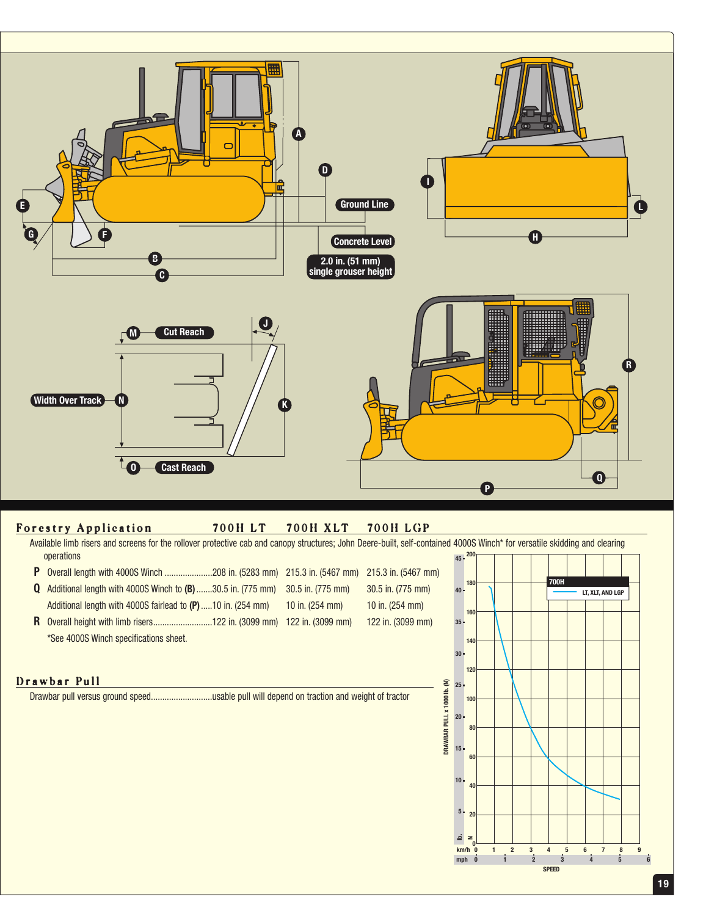

# Forestry Application 700H LT 700H XLT 700H LGP



- **P** Overall length with 4000S Winch .....................208 in. (5283 mm) 215.3 in. (5467 mm) 215.3 in. (5467 mm)
- **Q** Additional length with 4000S Winch to **(B)**.......30.5 in. (775 mm) 30.5 in. (775 mm) 30.5 in. (775 mm) Additional length with 4000S fairlead to **(P)**.....10 in. (254 mm) 10 in. (254 mm) 10 in. (254 mm)
	- -
- 
- **R** Overall height with limb risers.........................122 in. (3099 mm) 122 in. (3099 mm) 122 in. (3099 mm) \*See 4000S Winch specifications sheet.

# Drawbar Pull

Drawbar pull versus ground speed.............................usable pull will depend on traction and weight of tractor